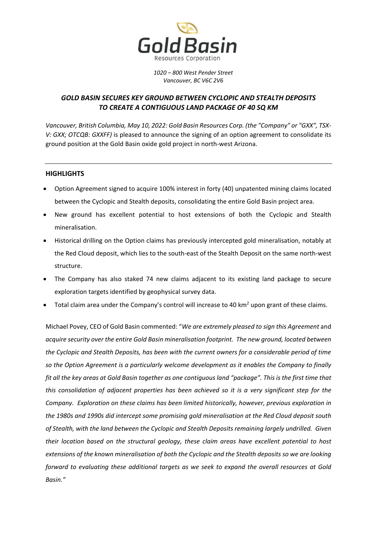

*1020 – 800 West Pender Street Vancouver, BC V6C 2V6*

# *GOLD BASIN SECURES KEY GROUND BETWEEN CYCLOPIC AND STEALTH DEPOSITS TO CREATE A CONTIGUOUS LAND PACKAGE OF 40 SQ KM*

*Vancouver, British Columbia, May 10, 2022: Gold Basin Resources Corp. (the "Company" or "GXX", TSX-V: GXX; OTCQB: GXXFF)* is pleased to announce the signing of an option agreement to consolidate its ground position at the Gold Basin oxide gold project in north-west Arizona.

### **HIGHLIGHTS**

- Option Agreement signed to acquire 100% interest in forty (40) unpatented mining claims located between the Cyclopic and Stealth deposits, consolidating the entire Gold Basin project area.
- New ground has excellent potential to host extensions of both the Cyclopic and Stealth mineralisation.
- Historical drilling on the Option claims has previously intercepted gold mineralisation, notably at the Red Cloud deposit, which lies to the south-east of the Stealth Deposit on the same north-west structure.
- The Company has also staked 74 new claims adjacent to its existing land package to secure exploration targets identified by geophysical survey data.
- Total claim area under the Company's control will increase to 40 km<sup>2</sup> upon grant of these claims.

Michael Povey, CEO of Gold Basin commented: "*We are extremely pleased to sign this Agreement* and *acquire security over the entire Gold Basin mineralisation footprint. The new ground, located between the Cyclopic and Stealth Deposits, has been with the current owners for a considerable period of time so the Option Agreement is a particularly welcome development as it enables the Company to finally fit all the key areas at Gold Basin together as one contiguous land "package". This is the first time that this consolidation of adjacent properties has been achieved so it is a very significant step for the Company. Exploration on these claims has been limited historically, however, previous exploration in the 1980s and 1990s did intercept some promising gold mineralisation at the Red Cloud deposit south of Stealth, with the land between the Cyclopic and Stealth Deposits remaining largely undrilled. Given their location based on the structural geology, these claim areas have excellent potential to host extensions of the known mineralisation of both the Cyclopic and the Stealth deposits so we are looking forward to evaluating these additional targets as we seek to expand the overall resources at Gold Basin."*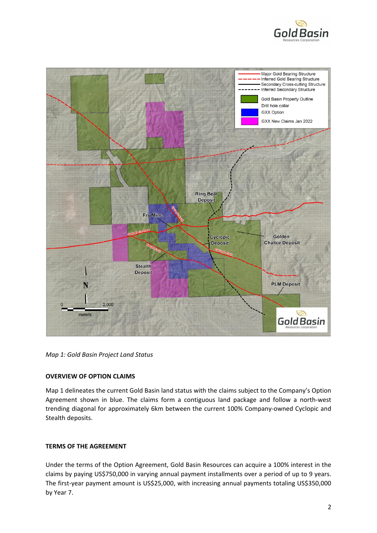



*Map 1: Gold Basin Project Land Status* 

## **OVERVIEW OF OPTION CLAIMS**

Map 1 delineates the current Gold Basin land status with the claims subject to the Company's Option Agreement shown in blue. The claims form a contiguous land package and follow a north-west trending diagonal for approximately 6km between the current 100% Company-owned Cyclopic and Stealth deposits.

## **TERMS OF THE AGREEMENT**

Under the terms of the Option Agreement, Gold Basin Resources can acquire a 100% interest in the claims by paying US\$750,000 in varying annual payment installments over a period of up to 9 years. The first-year payment amount is US\$25,000, with increasing annual payments totaling US\$350,000 by Year 7.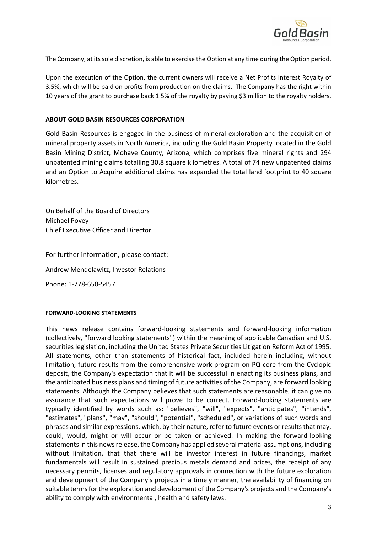

The Company, at its sole discretion, is able to exercise the Option at any time during the Option period.

Upon the execution of the Option, the current owners will receive a Net Profits Interest Royalty of 3.5%, which will be paid on profits from production on the claims. The Company has the right within 10 years of the grant to purchase back 1.5% of the royalty by paying \$3 million to the royalty holders.

#### **ABOUT GOLD BASIN RESOURCES CORPORATION**

Gold Basin Resources is engaged in the business of mineral exploration and the acquisition of mineral property assets in North America, including the Gold Basin Property located in the Gold Basin Mining District, Mohave County, Arizona, which comprises five mineral rights and 294 unpatented mining claims totalling 30.8 square kilometres. A total of 74 new unpatented claims and an Option to Acquire additional claims has expanded the total land footprint to 40 square kilometres.

On Behalf of the Board of Directors Michael Povey Chief Executive Officer and Director

For further information, please contact: Andrew Mendelawitz, Investor Relations Phone: 1-778-650-5457

#### **FORWARD-LOOKING STATEMENTS**

This news release contains forward-looking statements and forward-looking information (collectively, "forward looking statements") within the meaning of applicable Canadian and U.S. securities legislation, including the United States Private Securities Litigation Reform Act of 1995. All statements, other than statements of historical fact, included herein including, without limitation, future results from the comprehensive work program on PQ core from the Cyclopic deposit, the Company's expectation that it will be successful in enacting its business plans, and the anticipated business plans and timing of future activities of the Company, are forward looking statements. Although the Company believes that such statements are reasonable, it can give no assurance that such expectations will prove to be correct. Forward-looking statements are typically identified by words such as: "believes", "will", "expects", "anticipates", "intends", "estimates", "plans", "may", "should", "potential", "scheduled", or variations of such words and phrases and similar expressions, which, by their nature, refer to future events or results that may, could, would, might or will occur or be taken or achieved. In making the forward-looking statements in this news release, the Company has applied several material assumptions, including without limitation, that that there will be investor interest in future financings, market fundamentals will result in sustained precious metals demand and prices, the receipt of any necessary permits, licenses and regulatory approvals in connection with the future exploration and development of the Company's projects in a timely manner, the availability of financing on suitable terms for the exploration and development of the Company's projects and the Company's ability to comply with environmental, health and safety laws.